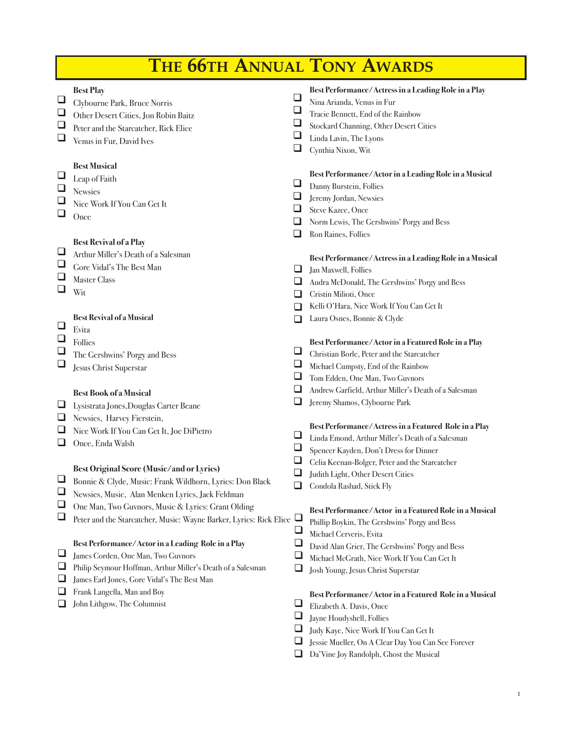| <b>THE 66TH ANNUAL TONY AWARDS</b> |  |
|------------------------------------|--|
|------------------------------------|--|

 $\Box$ 

 $\Box$ 

 $\Box$  $\Box$  $\Box$ 

 $\Box$  $\Box$ 

 $\Box$  $\Box$ 

 $\Box$ 

| $\Box$ | <b>Best Play</b>                                                     | ⊔        | Best Performance/Actress in a Leading Role in a Play    |
|--------|----------------------------------------------------------------------|----------|---------------------------------------------------------|
|        | Clybourne Park, Bruce Norris                                         | ⊔        | Nina Arianda, Venus in Fur                              |
| $\Box$ | Other Desert Cities, Jon Robin Baitz                                 |          | Tracie Bennett, End of the Rainbow                      |
| $\Box$ | Peter and the Starcatcher, Rick Elice                                | $\Box$   | Stockard Channing, Other Desert Cities                  |
| $\Box$ | Venus in Fur, David Ives                                             | $\Box$   | Linda Lavin, The Lyons                                  |
|        |                                                                      | ❏        | Cynthia Nixon, Wit                                      |
|        | <b>Best Musical</b>                                                  |          | Best Performance/Actor in a Leading Role in a Musical   |
| $\Box$ | Leap of Faith                                                        | ⊔        | Danny Burstein, Follies                                 |
| $\Box$ | <b>Newsies</b>                                                       | ⊔        | Jeremy Jordan, Newsies                                  |
| $\Box$ | Nice Work If You Can Get It                                          | $\Box$   | <b>Steve Kazee</b> , Once                               |
| $\Box$ | Once                                                                 | ⊔        |                                                         |
|        |                                                                      | ❏        | Norm Lewis, The Gershwins' Porgy and Bess               |
|        | <b>Best Revival of a Play</b>                                        |          | Ron Raines, Follies                                     |
| $\Box$ | Arthur Miller's Death of a Salesman                                  |          | Best Performance/Actress in a Leading Role in a Musical |
| $\Box$ | Gore Vidal's The Best Man                                            | ⊔        | Jan Maxwell, Follies                                    |
| $\Box$ | <b>Master Class</b>                                                  | ⊔        | Audra McDonald, The Gershwins' Porgy and Bess           |
| $\Box$ | Wit                                                                  | ப        | Cristin Milioti, Once                                   |
|        |                                                                      | ப        | Kelli O'Hara, Nice Work If You Can Get It               |
|        | <b>Best Revival of a Musical</b>                                     | П        | Laura Osnes, Bonnie & Clyde                             |
| $\Box$ | Evita                                                                |          |                                                         |
| $\Box$ | Follies                                                              |          | Best Performance/Actor in a Featured Role in a Play     |
| $\Box$ | The Gershwins' Porgy and Bess                                        | ❏        | Christian Borle, Peter and the Starcatcher              |
| $\Box$ | <b>Jesus Christ Superstar</b>                                        | ⊔        | Michael Cumpsty, End of the Rainbow                     |
|        |                                                                      | ⊔        | Tom Edden, One Man, Two Guvnors                         |
|        |                                                                      | ⊔        | Andrew Garfield, Arthur Miller's Death of a Salesman    |
|        | <b>Best Book of a Musical</b>                                        | $\Box$   | Jeremy Shamos, Clybourne Park                           |
| $\Box$ | Lysistrata Jones, Douglas Carter Beane                               |          |                                                         |
| $\Box$ | Newsies, Harvey Fierstein,                                           |          | Best Performance/Actress in a Featured Role in a Play   |
| $\Box$ | Nice Work If You Can Get It, Joe DiPietro                            | ❏        | Linda Emond, Arthur Miller's Death of a Salesman        |
| $\Box$ | Once, Enda Walsh                                                     |          | Spencer Kayden, Don't Dress for Dinner                  |
|        |                                                                      | ⊔        | Celia Keenan-Bolger, Peter and the Starcatcher          |
|        | <b>Best Original Score (Music/and or Lyrics)</b>                     | $\Box$   | Judith Light, Other Desert Cities                       |
| $\Box$ | Bonnie & Clyde, Music: Frank Wildhorn, Lyrics: Don Black             |          | Condola Rashad, Stick Fly                               |
|        | Newsies, Music, Alan Menken Lyrics, Jack Feldman                     |          |                                                         |
| $\Box$ | One Man, Two Guvnors, Music & Lyrics: Grant Olding                   |          | Best Performance/Actor in a Featured Role in a Musical  |
|        | Peter and the Starcatcher, Music: Wayne Barker, Lyrics: Rick Elice └ |          | Phillip Boykin, The Gershwins' Porgy and Bess           |
|        |                                                                      | ❏        | Michael Cerveris, Evita                                 |
|        | Best Performance/Actor in a Leading Role in a Play                   |          | David Alan Grier, The Gershwins' Porgy and Bess         |
| $\Box$ | James Corden, One Man, Two Guvnors                                   | $\Box$   | Michael McGrath, Nice Work If You Can Get It            |
| ❏      | Philip Seymour Hoffman, Arthur Miller's Death of a Salesman          |          | Josh Young, Jesus Christ Superstar                      |
| ❏      | James Earl Jones, Gore Vidal's The Best Man                          |          |                                                         |
| ❏      | Frank Langella, Man and Boy                                          |          | Best Performance/Actor in a Featured Role in a Musical  |
| ப      | John Lithgow, The Columnist                                          | ⊔        | Elizabeth A. Davis, Once                                |
|        |                                                                      |          | Jayne Houdyshell, Follies                               |
|        |                                                                      | $\sqcup$ | Judy Kaye, Nice Work If You Can Get It                  |
|        |                                                                      |          | Jessie Mueller, On A Clear Day You Can See Forever      |

Da'Vine Joy Randolph, Ghost the Musical q